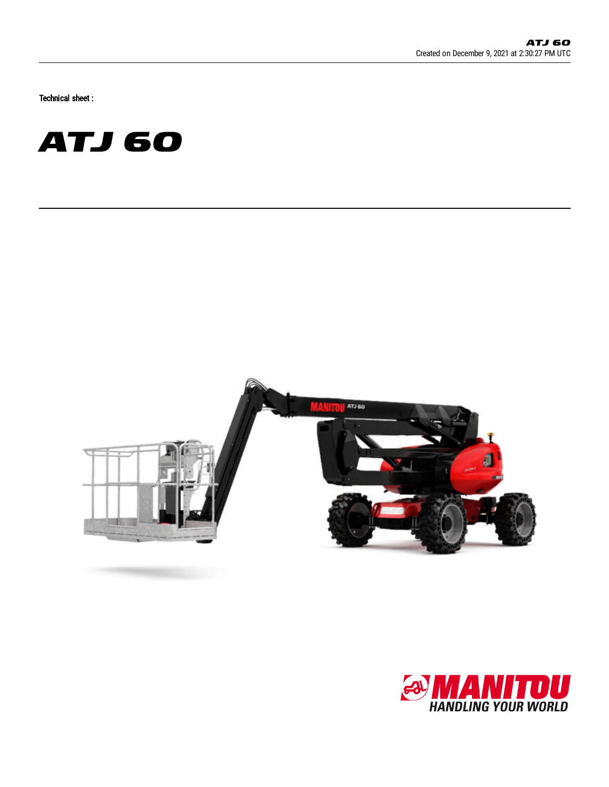Technical sheet :





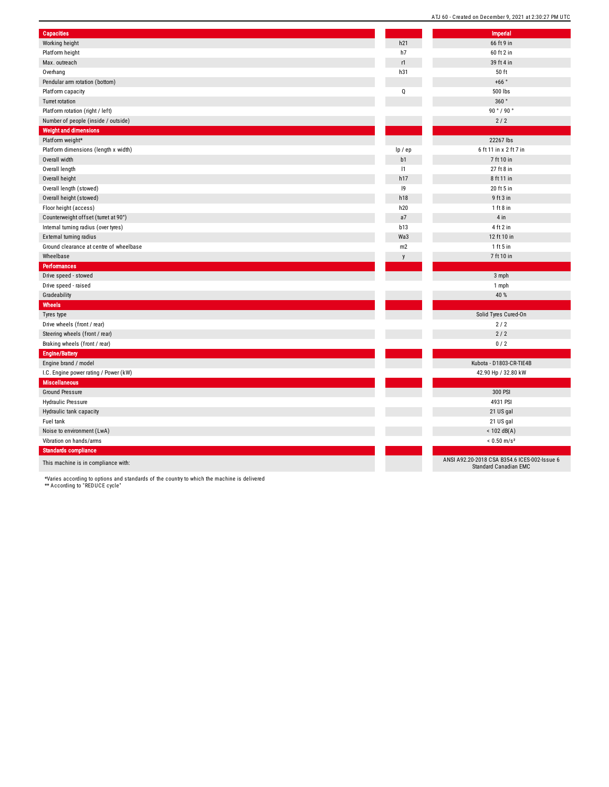| <b>Capacities</b>                       |             | Imperial                                                                     |
|-----------------------------------------|-------------|------------------------------------------------------------------------------|
| Working height                          | h21         | 66 ft 9 in                                                                   |
| Platform height                         | h7          | 60 ft 2 in                                                                   |
| Max. outreach                           | r1          | 39 ft 4 in                                                                   |
| Overhang                                | h31         | 50 ft                                                                        |
| Pendular arm rotation (bottom)          |             | +66 $^{\circ}$                                                               |
| Platform capacity                       | Q           | 500 lbs                                                                      |
| Turret rotation                         |             | 360°                                                                         |
| Platform rotation (right / left)        |             | 90°/90°                                                                      |
| Number of people (inside / outside)     |             | 2/2                                                                          |
| <b>Weight and dimensions</b>            |             |                                                                              |
| Platform weight*                        |             | 22267 lbs                                                                    |
| Platform dimensions (length x width)    | lp / ep     | 6 ft 11 in x 2 ft 7 in                                                       |
| Overall width                           | b1          | 7 ft 10 in                                                                   |
| Overall length                          | 1           | 27 ft 8 in                                                                   |
| Overall height                          | h17         | 8 ft 11 in                                                                   |
| Overall length (stowed)                 | $ 9\rangle$ | 20 ft 5 in                                                                   |
| Overall height (stowed)                 | h18         | 9 ft 3 in                                                                    |
| Floor height (access)                   | h20         | $1$ ft 8 in                                                                  |
| Counterweight offset (turret at 90°)    | a7          | 4 in                                                                         |
| Internal turning radius (over tyres)    | b13         | 4 ft 2 in                                                                    |
| External turning radius                 | Wa3         | 12 ft 10 in                                                                  |
| Ground clearance at centre of wheelbase | m2          | 1 ft 5 in                                                                    |
| Wheelbase                               | y           | 7 ft 10 in                                                                   |
| <b>Performances</b>                     |             |                                                                              |
| Drive speed - stowed                    |             | 3 mph                                                                        |
| Drive speed - raised                    |             | 1 mph                                                                        |
| Gradeability                            |             | 40 %                                                                         |
| Wheels                                  |             |                                                                              |
| Tyres type                              |             | Solid Tyres Cured-On                                                         |
| Drive wheels (front / rear)             |             | 2/2                                                                          |
| Steering wheels (front / rear)          |             | 2/2                                                                          |
| Braking wheels (front / rear)           |             | 0/2                                                                          |
| <b>Engine/Battery</b>                   |             |                                                                              |
| Engine brand / model                    |             | Kubota - D1803-CR-TIE4B                                                      |
| I.C. Engine power rating / Power (kW)   |             | 42.90 Hp / 32.80 kW                                                          |
| <b>Miscellaneous</b>                    |             |                                                                              |
| <b>Ground Pressure</b>                  |             | 300 PSI                                                                      |
| Hydraulic Pressure                      |             | 4931 PSI                                                                     |
| Hydraulic tank capacity                 |             | 21 US gal                                                                    |
| Fuel tank                               |             | 21 US gal                                                                    |
| Noise to environment (LwA)              |             | $< 102$ dB(A)                                                                |
| Vibration on hands/arms                 |             | $< 0.50$ m/s <sup>2</sup>                                                    |
| <b>Standards compliance</b>             |             |                                                                              |
| This machine is in compliance with:     |             | ANSI A92.20-2018 CSA B354.6 ICES-002-Issue 6<br><b>Standard Canadian EMC</b> |

ATJ 60 - Created on December 9, 2021 at 2:30:27 PM UTC

\*Varies according to options and standards of the country to which the machine is delivered \*\* According to "REDUCE cycle"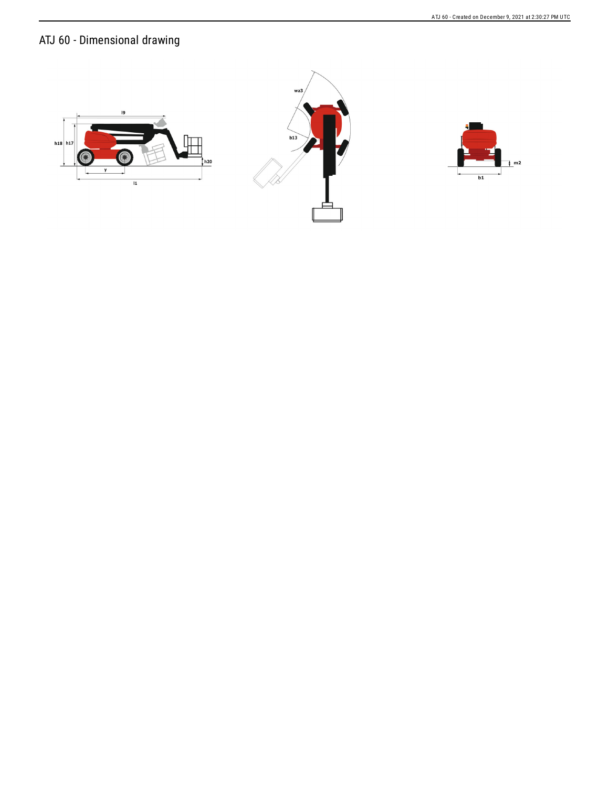ATJ 60 - Dimensional drawing





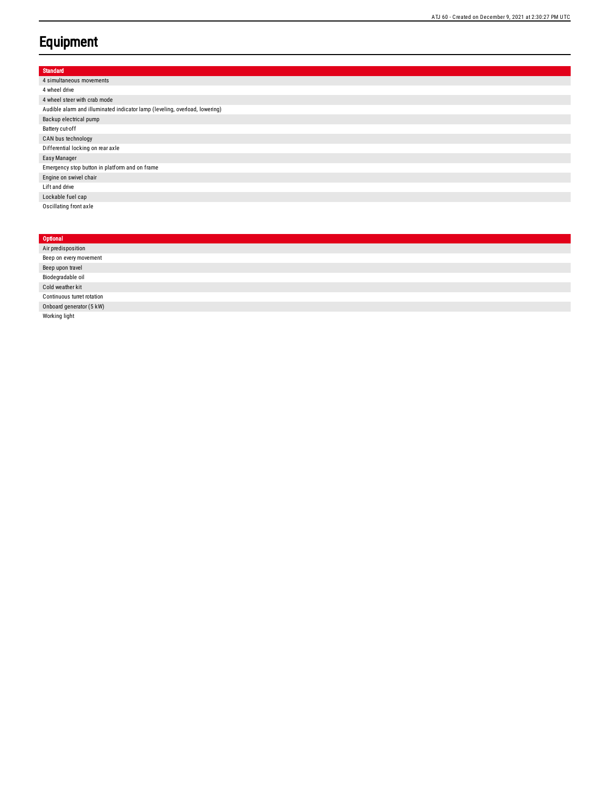## **Equipment**

| Standard                                                                    |
|-----------------------------------------------------------------------------|
| 4 simultaneous movements                                                    |
| 4 wheel drive                                                               |
| 4 wheel steer with crab mode                                                |
| Audible alarm and illuminated indicator lamp (leveling, overload, lowering) |
| Backup electrical pump                                                      |
| Battery cut-off                                                             |
| CAN bus technology                                                          |
| Differential locking on rear axle                                           |
| Easy Manager                                                                |
| Emergency stop button in platform and on frame                              |
| Engine on swivel chair                                                      |
| Lift and drive                                                              |
| Lockable fuel cap                                                           |
| Oscillating front axle                                                      |
|                                                                             |
|                                                                             |

| Optional                   |
|----------------------------|
| Air predisposition         |
| Beep on every movement     |
| Beep upon travel           |
| Biodegradable oil          |
| Cold weather kit           |
| Continuous turret rotation |
| Onboard generator (5 kW)   |
| Working light              |
|                            |